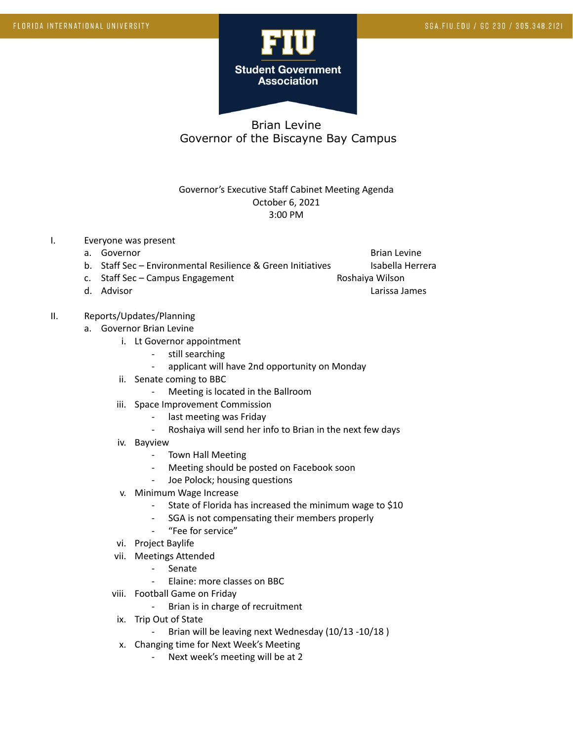

## Brian Levine Governor of the Biscayne Bay Campus

## Governor's Executive Staff Cabinet Meeting Agenda October 6, 2021 3:00 PM

- I. Everyone was present
	- a. Governor and the settlement of the settlement of the settlement of the Brian Levine

- b. Staff Sec Environmental Resilience & Green Initiatives Isabella Herrera
- c. Staff Sec Campus Engagement Communication Roshaiya Wilson
- d. Advisor Larissa James Communication and the Communication of the Larissa James Larissa James Communication

## II. Reports/Updates/Planning

- a. Governor Brian Levine
	- i. Lt Governor appointment
		- still searching
		- applicant will have 2nd opportunity on Monday
	- ii. Senate coming to BBC
		- Meeting is located in the Ballroom
	- iii. Space Improvement Commission
		- last meeting was Friday
		- Roshaiya will send her info to Brian in the next few days
	- iv. Bayview
		- Town Hall Meeting
		- Meeting should be posted on Facebook soon
		- Joe Polock; housing questions
	- v. Minimum Wage Increase
		- State of Florida has increased the minimum wage to \$10
		- SGA is not compensating their members properly
		- "Fee for service"
	- vi. Project Baylife
	- vii. Meetings Attended
		- Senate
		- Elaine: more classes on BBC
	- viii. Football Game on Friday
		- Brian is in charge of recruitment
	- ix. Trip Out of State
		- Brian will be leaving next Wednesday (10/13 -10/18)
	- x. Changing time for Next Week's Meeting
		- Next week's meeting will be at 2